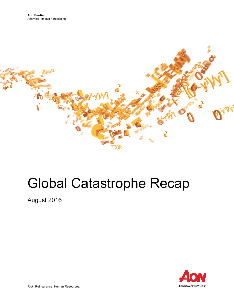

# Global Catastrophe Recap

August 2016



Risk. Reinsurance. Human Resources.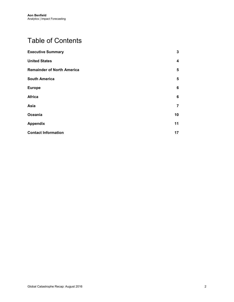# Table of Contents

| <b>Executive Summary</b>          | 3                       |
|-----------------------------------|-------------------------|
| <b>United States</b>              | $\overline{\mathbf{4}}$ |
| <b>Remainder of North America</b> | 5                       |
| <b>South America</b>              | 5                       |
| <b>Europe</b>                     | 6                       |
| <b>Africa</b>                     | 6                       |
| Asia                              | 7                       |
| Oceania                           | 10                      |
| <b>Appendix</b>                   | 11                      |
| <b>Contact Information</b>        | 17                      |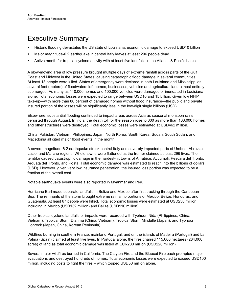## <span id="page-2-0"></span>Executive Summary

- Historic flooding devastates the US state of Louisiana; economic damage to exceed USD10 billion
- Major magnitude-6.2 earthquake in central Italy leaves at least 296 people dead
- Active month for tropical cyclone activity with at least five landfalls in the Atlantic & Pacific basins

A slow-moving area of low pressure brought multiple days of extreme rainfall across parts of the Gulf Coast and Midwest in the United States, causing catastrophic flood damage in several communities. At least 13 people were killed. States of emergency were declared in both Louisiana and Mississippi as several feet (meters) of floodwaters left homes, businesses, vehicles and agricultural land almost entirely submerged. As many as 110,000 homes and 100,000 vehicles were damaged or inundated in Louisiana alone. Total economic losses were expected to range between USD10 and 15 billion. Given low NFIP take-up—with more than 80 percent of damaged homes without flood insurance—the public and private insured portion of the losses will be significantly less in the low-digit single billions (USD).

Elsewhere, substantial flooding continued to impact areas across Asia as seasonal monsoon rains persisted through August. In India, the death toll for the season rose to 600 as more than 100,000 homes and other structures were destroyed. Total economic losses were estimated at USD462 million.

China, Pakistan, Vietnam, Philippines, Japan, North Korea, South Korea, Sudan, South Sudan, and Macedonia all cited major flood events in the month.

A severe magnitude-6.2 earthquake struck central Italy and severely impacted parts of Umbria, Abruzzo, Lazio, and Marche regions. Whole towns were flattened as the tremor claimed at least 296 lives. The temblor caused catastrophic damage in the hardest-hit towns of Amatrice, Accumoli, Pescara del Tronto, Arquata del Tronto, and Posta. Total economic damage was estimated to reach into the billions of dollars (USD). However, given very low insurance penetration, the insured loss portion was expected to be a fraction of the overall cost.

Notable earthquake events were also reported in Myanmar and Peru.

Hurricane Earl made separate landfalls in Belize and Mexico after first tracking through the Caribbean Sea. The remnants of the storm brought extreme rainfall to portions of Mexico, Belize, Honduras, and Guatemala. At least 67 people were killed. Total economic losses were estimated at USD250 million, including in Mexico (USD132 million) and Belize (USD110 million).

Other tropical cyclone landfalls or impacts were recorded with Typhoon Nida (Philippines, China, Vietnam), Tropical Storm Dianmu (China, Vietnam), Tropical Storm Mindulle (Japan), and Typhoon Lionrock (Japan, China, Korean Peninsula).

Wildfires burning in southern France, mainland Portugal, and on the islands of Madeira (Portugal) and La Palma (Spain) claimed at least five lives. In Portugal alone, the fires charred 115,000 hectares (284,000 acres) of land as total economic damage was listed at EUR200 million (USD226 million).

Several major wildfires burned in California. The Clayton Fire and the Bluecut Fire each prompted major evacuations and destroyed hundreds of homes. Total economic losses were expected to exceed USD100 million, including costs to fight the fires – which topped USD50 million alone.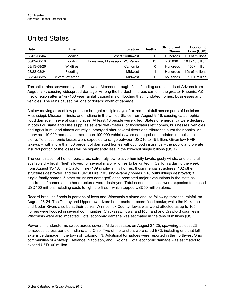## <span id="page-3-0"></span>United States

| <b>Date</b> | Event           | Location                          | <b>Deaths</b> | Structures/<br><b>Claims</b> | <b>Economic</b><br>Loss (USD) |
|-------------|-----------------|-----------------------------------|---------------|------------------------------|-------------------------------|
| 08/02-08/04 | <b>Flooding</b> | <b>Desert Southwest</b>           |               | Hundreds                     | 10s of millions               |
| 08/09-08/16 | <b>Flooding</b> | Louisiana, Mississippi, MS Valley | 13            | 250.000+                     | 10 to 15 billion              |
| 08/13-08/26 | Wildfires       | California                        |               | Hundreds                     | $100+$ million                |
| 08/23-08/24 | <b>Flooding</b> | Midwest                           |               | Hundreds                     | 10s of millions               |
| 08/24-08/25 | Severe Weather  | Midwest                           |               | Thousands                    | $100+$ million                |

Torrential rains spawned by the Southwest Monsoon brought flash flooding across parts of Arizona from August 2-4, causing widespread damage. Among the hardest-hit areas came in the greater Phoenix, AZ metro region after a 1-in-100 year rainfall caused major flooding that inundated homes, businesses and vehicles. The rains caused millions of dollars' worth of damage.

A slow-moving area of low pressure brought multiple days of extreme rainfall across parts of Louisiana, Mississippi, Missouri, Illinois, and Indiana in the United States from August 9-16, causing catastrophic flood damage in several communities. At least 13 people were killed. States of emergency were declared in both Louisiana and Mississippi as several feet (meters) of floodwaters left homes, businesses, vehicles and agricultural land almost entirely submerged after several rivers and tributaries burst their banks. As many as 110,000 homes and more than 100,000 vehicles were damaged or inundated in Louisiana alone. Total economic losses were expected to range between USD10 to 15 billion. Given low NFIP take-up – with more than 80 percent of damaged homes without flood insurance – the public and private insured portion of the losses will be significantly less in the low-digit single billions (USD).

The combination of hot temperatures, extremely low relative humidity levels, gusty winds, and plentiful available dry brush (fuel) allowed for several major wildfires to be ignited in California during the week from August 13-18. The Clayton Fire (189 single-family homes, 8 commercial structures, 102 other structures destroyed) and the Bluecut Fire (105 single-family homes, 216 outbuildings destroyed; 3 single-family homes, 5 other structures damaged) each prompted major evacuations in the state as hundreds of homes and other structures were destroyed. Total economic losses were expected to exceed USD100 million, including costs to fight the fires—which topped USD50 million alone.

Record-breaking floods in portions of Iowa and Wisconsin claimed one life following torrential rainfall on August 23-24. The Turkey and Upper Iowa rivers both reached record flood peaks; while the Kickapoo and Cedar Rivers also burst their banks. Winneshiek County, Iowa, was worst affected as up to 165 homes were flooded in several communities. Chickasaw, Iowa, and Richland and Crawford counties in Wisconsin were also impacted. Total economic damage was estimated in the tens of millions (USD).

Powerful thunderstorms swept across several Midwest states on August 24-25, spawning at least 23 tornadoes across parts of Indiana and Ohio. Two of the twisters were rated EF3, including one that left extensive damage in the town of Kokomo, IN. Additional tornadoes were reported in the northwest Ohio communities of Antwerp, Defiance, Napoleon, and Okolona. Total economic damage was estimated to exceed USD100 million.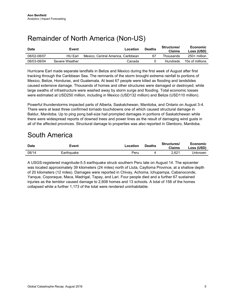## <span id="page-4-0"></span>Remainder of North America (Non-US)

| <b>Date</b> | Event          | Location                           | <b>Deaths</b> | Structures/<br><b>Claims</b> | Economic<br>Loss (USD) |
|-------------|----------------|------------------------------------|---------------|------------------------------|------------------------|
| 08/02-08/07 | HU Earl        | Mexico. Central America. Caribbean | 67            | Thousands                    | $250+$ million         |
| 08/03-08/04 | Severe Weather | Canada                             |               | Hundreds                     | 10s of millions        |

Hurricane Earl made separate landfalls in Belize and Mexico during the first week of August after first tracking through the Caribbean Sea. The remnants of the storm brought extreme rainfall to portions of Mexico, Belize, Honduras, and Guatemala. At least 67 people were killed as flooding and landslides caused extensive damage. Thousands of homes and other structures were damaged or destroyed; while large swaths of infrastructure were washed away by storm surge and flooding. Total economic losses were estimated at USD250 million, including in Mexico (USD132 million) and Belize (USD110 million).

Powerful thunderstorms impacted parts of Alberta, Saskatchewan, Manitoba, and Ontario on August 3-4. There were at least three confirmed tornado touchdowns one of which caused structural damage in Baldur, Manitoba. Up to ping pong ball-size hail prompted damages in portions of Saskatchewan while there were widespread reports of downed trees and power lines as the result of damaging wind gusts in all of the affected provinces. Structural damage to properties was also reported in Glenboro, Manitoba.

## <span id="page-4-1"></span>South America

| <b>Date</b> | Event      | ∟ocation | <b>Deaths</b> | Structures/<br><b>Claims</b> | Economic<br>Loss (USD) |
|-------------|------------|----------|---------------|------------------------------|------------------------|
| 08/14       | Earthquake | Peru     |               | 2.621                        | Jnknown                |

A USGS-registered magnitude-5.5 earthquake struck southern Peru late on August 14. The epicenter was located approximately 39 kilometers (24 miles) north of Lluta, Caylloma Province, at a shallow depth of 20 kilometers (12 miles). Damages were reported in Chivay, Achoma, Ichupampa, Cabanoconde, Yanque, Coporaque, Maca, Madrigal, Tapay, and Lari. Four people died and a further 67 sustained injuries as the temblor caused damage to 2,608 homes and 13 schools. A total of 158 of the homes collapsed while a further 1,173 of the total were rendered uninhabitable.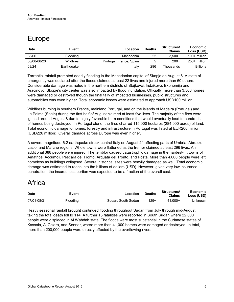# <span id="page-5-0"></span>Europe

| <b>Date</b> | Event      | Location                | <b>Deaths</b> | Structures/<br><b>Claims</b> | Economic<br>Loss (USD) |
|-------------|------------|-------------------------|---------------|------------------------------|------------------------|
| 08/06       | Flooding   | Macedonia               | 22            | $3.500+$                     | $100+$ million         |
| 08/08-08/20 | Wildfires  | Portugal, France, Spain |               | $200+$                       | $250+$ million         |
| 08/24       | Earthquake | Italv                   | 296           | Thousands                    | <b>Billions</b>        |

Torrential rainfall prompted deadly flooding in the Macedonian capital of Skopje on August 6. A state of emergency was declared after the floods claimed at least 22 lives and injured more than 60 others. Considerable damage was noted in the northern districts of Stajkovci, Indzikovo, Ekonomija and Aracinovo. Skopje's city center was also impacted by flood inundation. Officially, more than 3,500 homes were damaged or destroyed though the final tally of impacted businesses, public structures and automobiles was even higher. Total economic losses were estimated to approach USD100 million.

Wildfires burning in southern France, mainland Portugal, and on the islands of Madeira (Portugal) and La Palma (Spain) during the first half of August claimed at least five lives. The majority of the fires were ignited around August 8 due to highly favorable burn conditions that would eventually lead to hundreds of homes being destroyed. In Portugal alone, the fires charred 115,000 hectares (284,000 acres) of land. Total economic damage to homes, forestry and infrastructure in Portugal was listed at EUR200 million (USD226 million). Overall damage across Europe was even higher.

A severe magnitude-6.2 earthquake struck central Italy on August 24 affecting parts of Umbria, Abruzzo, Lazio, and Marche regions. Whole towns were flattened as the tremor claimed at least 296 lives. An additional 388 people were injured. The temblor caused catastrophic damage in the hardest-hit towns of Amatrice, Accumoli, Pescara del Tronto, Arquata del Tronto, and Posta. More than 4,000 people were left homeless as buildings collapsed. Several historical sites were heavily damaged as well. Total economic damage was estimated to reach into the billions of dollars (USD). However, given very low insurance penetration, the insured loss portion was expected to be a fraction of the overall cost.

## <span id="page-5-1"></span>Africa

| <b>Date</b> | Event    | ∟ocation           | <b>Deaths</b> | Structures/<br>Claims | Economic<br>Loss (USD) |
|-------------|----------|--------------------|---------------|-----------------------|------------------------|
| 07/01-08/31 | Flooding | Sudan, South Sudan | $129+$        | 41.000+               | Unknown                |

Heavy seasonal rainfall brought continued flooding throughout Sudan from July through mid-August taking the total death toll to 114. A further 15 fatalities were reported in South Sudan where 22,000 people were displaced in Al Wahdah state. The floods were most substantial in the Sudanese states of Kassala, Al Gezira, and Sennar, where more than 41,000 homes were damaged or destroyed. In total, more than 200,000 people were directly affected by the overflowing rivers.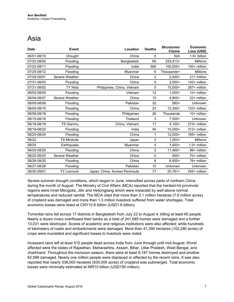## <span id="page-6-0"></span>Asia

| <b>Date</b> | <b>Event</b>       | Location                       | <b>Deaths</b>  | Structures/<br><b>Claims</b> | <b>Economic</b><br>Loss (USD) |
|-------------|--------------------|--------------------------------|----------------|------------------------------|-------------------------------|
| 06/01-08/10 | Drought            | China                          | 0              | N/A                          | $1.6+$ billion                |
| 07/22-08/04 | Flooding           | Bangladesh                     | 60             | 253,413+                     | <b>Millions</b>               |
| 07/22-08/11 | Flooding           | India                          | 560            | 100,000+                     | 150+ million                  |
| 07/25-08/12 | Flooding           | Myanmar                        | 6              | Thousands+                   | <b>Millions</b>               |
| 07/28-08/01 | Severe Weather     | China                          | 3              | $2.400+$                     | 21+ million                   |
| 07/31-08/03 | Flooding           | China                          | 5              | $3.000+$                     | 142+ million                  |
| 07/31-08/02 | TY Nida            | Philippines, China, Vietnam    | $\mathbf 0$    | $15,000+$                    | 267+ million                  |
| 08/02-08/05 | Flooding           | Vietnam                        | 12             | $1.000 +$                    | $10+$ million                 |
| 08/04-08/07 | Severe Weather     | China                          | 15             | $4.800+$                     | 22+ million                   |
| 08/05-08/08 | Flooding           | Pakistan                       | 32             | $580+$                       | Unknown                       |
| 08/05-08/10 | Flooding           | China                          | 23             | $12,300+$                    | 123+ million                  |
| 08/08-08/16 | Flooding           | Philippines                    | 26             | Thousands                    | 10+ million                   |
| 08/15-08/16 | Flooding           | Thailand                       | 3              | $7,500+$                     | Unknown                       |
| 08/18-08/19 | <b>TS Dianmu</b>   | China, Vietnam                 | 17             | $4,100+$                     | 273+ million                  |
| 08/19-08/22 | Flooding           | India                          | 40             | $10,000+$                    | 312+ million                  |
| 08/20-08/24 | Flooding           | China                          | 1              | $12,000+$                    | 165+ million                  |
| 08/22       | <b>TS Mindulle</b> | Japan                          | $\overline{2}$ | $1,253+$                     | <b>Millions</b>               |
| 08/24       | Earthquake         | Myanmar                        | $\overline{4}$ | $1.000 +$                    | $1.0+$ million                |
| 08/20-08/25 | Flooding           | China                          | $\overline{2}$ | $11,400+$                    | 96+ million                   |
| 08/20-08/25 | Severe Weather     | China                          | $\mathbf 0$    | $400+$                       | 70+ million                   |
| 08/26-08/30 | Flooding           | China                          | 8              | $8.400+$                     | 76+ million                   |
| 08/27-08/28 | Flooding           | Pakistan                       | 10             | Unknown                      | <b>Unknown</b>                |
| 08/30-09/01 | <b>TY Lionrock</b> | Japan, China, Korean Peninsula | 77             | $20,781+$                    | 245+ million                  |

Severe summer drought conditions, which began in June, intensified across parts of northern China during the month of August. The Ministry of Civil Affairs (MCA) reported that the hardest-hit provincial regions were Inner Mongolia, Jilin and Heilongjiang which were impacted by well-above normal temperatures and reduced rainfall. The MCA cited that more than 3.1 million hectares (7.6 million acres) of cropland was damaged and more than 1.3 million livestock suffered from water shortages. Total economic losses were listed at CNY10.6 billion (USD1.6 billion).

Torrential rains fell across 17 districts in Bangladesh from July 22 to August 4, killing at least 60 people. Nearly a dozen rivers overflowed their banks as a total of 241,685 homes were damaged and a further 10,031 were destroyed. Scores of academic and religious institutions were also affected; while hundreds of kilometers of roads and embankments were damaged. More than 41,390 hectares (102,280 acres) of crops were inundated and significant losses to livestock were noted.

Incessant rains left at least 510 people dead across India from June through until mid-August. Worst affected were the states of Rajasthan, Maharashtra, Assam, Bihar, Uttar Pradesh, West Bengal, and Jharkhand. Throughout the monsoon season, there were at least 6,187 homes destroyed and another 62,599 damaged. Nearly one million people were displaced or affected by the recent rains. It was also reported that nearly 338,000 hectares (835,000 acres) of cropland was submerged. Total economic losses were minimally estimated at INR10 billion (USD150 million).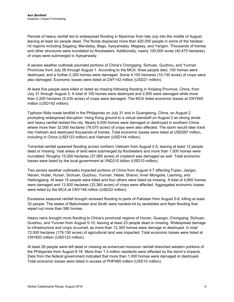Periods of heavy rainfall led to widespread flooding in Myanmar from late July into the middle of August, leaving at least six people dead. The floods displaced more than 420,000 people in some of the hardesthit regions including Sagaing, Mandalay, Bago, Ayeyarwady, Magway, and Yangon. Thousands of homes and other structures were inundated by floodwaters. Additionally, nearly 100,000 acres (40,470 hectares) of crops were submerged in Ayeyarwady.

A severe weather outbreak pounded portions of China's Chongqing, Sichuan, Guizhou, and Yunnan Provinces from July 28 through August 1. According to the MCA, three people died, 100 homes were destroyed, and a further 2,300 homes were damaged. Some 4,100 hectares (10,130 acres) of crops were also damaged. Economic losses were listed at CNY142 million (USD21 million).

At least five people were killed or listed as missing following flooding in Xinjiang Province, China, from July 31 through August 3. A total of 100 homes were destroyed and 2,900 were damaged while more than 2,200 hectares (5,435 acres) of crops were damaged. The MCA listed economic losses at CNY940 million (USD142 million).

Typhoon Nida made landfall in the Philippines on July 31 and in Guangdong, China, on August 2 prompting widespread disruption. Hong Kong ground to a virtual standstill on August 2 as strong winds and heavy rainfall lashed the city. Nearly 6,000 homes were damaged or destroyed in southern China where more than 32,000 hectares (79,070 acres) of crops were also affected. The storm would later track into Vietnam and destroyed thousands of homes. Total economic losses were listed at USD267 million, including in China (USD123 million) and Vietnam (USD144 million).

Torrential rainfall spawned flooding across northern Vietnam from August 2-5, leaving at least 12 people dead or missing. Vast areas of land were submerged by floodwaters and more than 1,000 homes were inundated. Roughly 15,000 hectares (37,065 acres) of cropland was damaged as well. Total economic losses were listed by the local government at VND210 billion (USD10 million).

Two severe weather outbreaks impacted portions of China from August 4-7 affecting Fujian, Jiangxi, Henan, Hubei, Hunan, Sichuan, Guizhou, Yunnan, Hebei, Shanxi, Inner Mongolia, Liaoning, and Heilongjiang. At least 15 people were killed and four others were listed as missing. A total of 4,800 homes were damaged and 13,500 hectares (33,360 acres) of crops were affected. Aggregated economic losses were listed by the MCA at CNY148 million (USD22 million).

Excessive seasonal rainfall brought renewed flooding to parts of Pakistan from August 5-8, killing at least 32 people. The states of Balochistan and Sindh were hardest-hit by landslides and flash flooding that wiped out more than 580 homes.

Heavy rains brought more flooding to China's provincial regions of Hunan, Guangxi, Chongqing, Sichuan, Guizhou, and Yunnan from August 5-10, leaving at least 23 people dead or missing. Widespread damage to infrastructure and crops occurred, as more than 12,300 homes were damage or destroyed. In total 72,500 hectares (179,150 acres) of agricultural land was impacted. Total economic losses were listed at CNY853 million (USD123 million).

At least 26 people were left dead or missing as enhanced monsoon rainfall drenched western portions of the Philippines from August 8-16. More than 1.3 million residents were affected by the storm's impacts. Data from the federal government indicated that more than 1,000 homes were damaged or destroyed. Total economic losses were listed in excess of PHP465 million (USD10 million).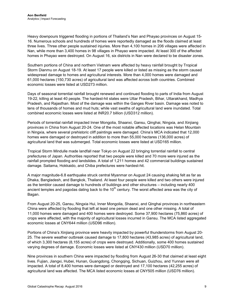Heavy downpours triggered flooding in portions of Thailand's Nan and Phayao provinces on August 15- 16. Numerous schools and hundreds of homes were reportedly damaged as the floods claimed at least three lives. Three other people sustained injuries. More than 4,100 homes in 206 villages were affected in Nan, while more than 3,400 homes in 98 villages in Phayao were impacted. At least 300 of the affected homes in Phayao were destroyed. On August 16, six districts in Nan were declared to be disaster zones.

Southern portions of China and northern Vietnam were affected by heavy rainfall brought by Tropical Storm Dianmu on August 18-19. At least 17 people were killed or listed as missing as the storm caused widespread damage to homes and agricultural interests. More than 4,000 homes were damaged and 61,000 hectares (150,730 acres) of agricultural land was affected across both countries. Combined economic losses were listed at USD273 million.

Days of seasonal torrential rainfall brought renewed and continued flooding to parts of India from August 19-22, killing at least 40 people. The hardest-hit states were Uttar Pradesh, Bihar, Uttarakhand, Madhya Pradesh, and Rajasthan. Most of the damage was within the Ganges River basin. Damage was noted to tens of thousands of homes and mud huts; while vast swaths of agricultural land were inundated. Total combined economic losses were listed at INR20.7 billion (USD312 million).

Periods of torrential rainfall impacted Inner Mongolia, Shaanxi, Gansu, Qinghai, Ningxia, and Xinjiang provinces in China from August 20-24. One of the most notable affected locations was Helan Mountain in Ningxia, where several prehistoric cliff paintings were damaged. China's MCA indicated that 12,000 homes were damaged or destroyed in addition to more than 55,000 hectares (136,000 acres) of agricultural land that was submerged. Total economic losses were listed at USD165 million.

Tropical Storm Mindulle made landfall near Tokyo on August 22 bringing torrential rainfall to central prefectures of Japan. Authorities reported that two people were killed and 70 more were injured as the rainfall prompted flooding and landslides. A total of 1,211 homes and 42 commercial buildings sustained damage. Saitama, Hokkaido, and Chiba prefectures were hardest-hit.

A major magnitude-6.8 earthquake struck central Myanmar on August 24 causing shaking felt as far as Dhaka, Bangladesh, and Bangkok, Thailand. At least four people were killed and two others were injured as the temblor caused damage to hundreds of buildings and other structures – including nearly 400 ancient temples and pagodas dating back to the  $10<sup>th</sup>$  century. The worst affected area was the city of Bagan.

From August 20-25, Gansu, Ningxia Hui, Inner Mongolia, Shaanxi, and Qinghai provinces in northeastern China were affected by flooding that left at least one person dead and one other missing. A total of 11,000 homes were damaged and 400 homes were destroyed. Some 37,900 hectares (75,860 acres) of crops were affected, with the majority of agricultural losses incurred in Gansu. The MCA listed aggregated economic losses at CNY644 million (USD96 million).

Portions of China's Xinjiang province were heavily impacted by powerful thunderstorms from August 20- 25. The severe weather outbreak caused damage to 17,800 hectares (43,985 acres) of agricultural land, of which 3,300 hectares (8,155 acres) of crops were destroyed. Additionally, some 400 homes sustained varying degrees of damage. Economic losses were listed at CNY430 million (USD70 million).

Nine provinces in southern China were impacted by flooding from August 26-30 that claimed at least eight lives. Fujian, Jiangxi, Hubei, Hunan, Guangdong, Chongqing, Sichuan, Guizhou, and Yunnan were all impacted. A total of 8,400 homes were damaged or destroyed and 17,100 hectares (42,255 acres) of agricultural land was affected. The MCA listed economic losses at CNY505 million (USD76 million).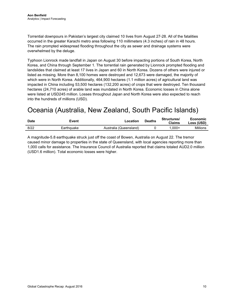Torrential downpours in Pakistan's largest city claimed 10 lives from August 27-28. All of the fatalities occurred in the greater Karachi metro area following 110 millimeters (4.3 inches) of rain in 48 hours. The rain prompted widespread flooding throughout the city as sewer and drainage systems were overwhelmed by the deluge.

Typhoon Lionrock made landfall in Japan on August 30 before impacting portions of South Korea, North Korea, and China through September 1. The torrential rain generated by Lionrock prompted flooding and landslides that claimed at least 17 lives in Japan and 60 in North Korea. Dozens of others were injured or listed as missing. More than 8,100 homes were destroyed and 12,673 were damaged, the majority of which were in North Korea. Additionally, 464,900 hectares (1.1 million acres) of agricultural land was impacted in China including 53,500 hectares (132,200 acres) of crops that were destroyed. Ten thousand hectares (24,710 acres) of arable land was inundated in North Korea. Economic losses in China alone were listed at USD245 million. Losses throughout Japan and North Korea were also expected to reach into the hundreds of millions (USD).

# <span id="page-9-0"></span>Oceania (Australia, New Zealand, South Pacific Islands)

| <b>Date</b> | Event      | Location               | <b>Deaths</b> | Structures/<br><b>Claims</b> | Economic<br>Loss (USD) |
|-------------|------------|------------------------|---------------|------------------------------|------------------------|
| 8/22        | Earthquake | Australia (Queensland) |               | -000.                        | Millions               |

A magnitude-5.8 earthquake struck just off the coast of Bowen, Australia on August 22. The tremor caused minor damage to properties in the state of Queensland, with local agencies reporting more than 1,000 calls for assistance. The Insurance Council of Australia reported that claims totaled AUD2.0 million (USD1.6 million). Total economic losses were higher.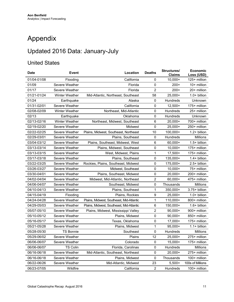# <span id="page-10-0"></span>Appendix

## Updated 2016 Data: January-July

### United States

| Date        | <b>Event</b>          | Location                                 | <b>Deaths</b>  | Structures/<br><b>Claims</b> | <b>Economic</b><br>Loss (USD) |
|-------------|-----------------------|------------------------------------------|----------------|------------------------------|-------------------------------|
| 01/04-01/08 | Flooding              | California                               | 0              | $10,000+$                    | 125+ million                  |
| 01/09       | Severe Weather        | Florida                                  | 0              | $200+$                       | 10+ million                   |
| 01/17       | Severe Weather        | Florida                                  | $\overline{2}$ | $200+$                       | 20+ million                   |
| 01/21-01/24 | Winter Weather        | Mid-Atlantic, Northeast, Southeast       | 58             | $25,000+$                    | $1.0+$ billion                |
| 01/24       | Earthquake            | Alaska                                   | $\pmb{0}$      | Hundreds                     | Unknown                       |
| 01/31-02/01 | Severe Weather        | California                               | 0              | $12.500+$                    | 175+ million                  |
| 02/08-02/09 | <b>Winter Weather</b> | Northeast, Mid-Atlantic                  | 0              | Hundreds                     | 25+ million                   |
| 02/13       | Earthquake            | Oklahoma                                 | 0              | Hundreds                     | Unknown                       |
| 02/13-02/16 | <b>Winter Weather</b> | Northeast, Midwest, Southeast            | 6              | $20,000+$                    | 700+ million                  |
| 02/19-02/20 | Severe Weather        | Midwest                                  | $\pmb{0}$      | $25,000+$                    | 250+ million                  |
| 02/22-02/25 | Severe Weather        | Plains, Midwest, Southeast, Northeast    | 10             | $100,000+$                   | 1.2+ billion                  |
| 02/29-03/01 | Severe Weather        | Plains, Southeast                        | 0              | Hundreds                     | Millions                      |
| 03/04-03/12 | Severe Weather        | Plains, Southeast, Midwest, West         | 6              | $60,000+$                    | $1.5+$ billion                |
| 03/13-03/14 | Severe Weather        | Plains, Midwest, Southeast               | 0              | $10,000+$                    | 175+ million                  |
| 03/13-03/15 | Severe Weather        | West, Midwest, Plains                    | 1              | 17,500+                      | 175+ million                  |
| 03/17-03/18 | Severe Weather        | Plains, Southeast                        | 0              | 135,000+                     | 1.4+ billion                  |
| 03/22-03/25 | Severe Weather        | Rockies, Plains, Southeast, Midwest      | 0              | 175,000+                     | 2.5+ billion                  |
| 03/26-03/27 | Severe Weather        | Midwest, Southeast                       | 0              | $10,000+$                    | 75+ million                   |
| 03/30-04/01 | Severe Weather        | Plains, Southeast, Midwest               | 0              | $20,000+$                    | 200+ million                  |
| 04/02-04/04 | Severe Weather        | Midwest, Mid-Atlantic, Northeast         | 2              | $60,000+$                    | 475+ million                  |
| 04/06-04/07 | Severe Weather        | Southeast, Midwest                       | 0              | Thousands                    | <b>Millions</b>               |
| 04/10-04/13 | Severe Weather        | Plains, Southeast                        | 1              | 350,000+                     | 3.75+ billion                 |
| 04/15-04/19 | Flooding              | Plains, Rockies                          | 9              | $25,000+$                    | $1.0+$ billion                |
| 04/24-04/28 | Severe Weather        | Plains, Midwest, Southeast, Mid-Atlantic | 1              | 110,000+                     | 800+ million                  |
| 04/29-05/03 | Severe Weather        | Plains, Midwest, Southeast, Mid-Atlantic | 6              | 150,000+                     | 1.6+ billion                  |
| 05/07-05/10 | Severe Weather        | Plains, Midwest, Mississippi Valley      | 2              | $90,000+$                    | 900+ million                  |
| 05/10-05/12 | Severe Weather        | Plains, Midwest                          | $\mathsf 0$    | $90,000+$                    | 850+ million                  |
| 05/16-05/17 | Severe Weather        | Texas, Oklahoma                          | 0              | 17,000+                      | 175+ million                  |
| 05/21-05/28 | Severe Weather        | Plains, Midwest                          | 1              | $95,000+$                    | $1.1 + billion$               |
| 05/28-05/30 | <b>TS Bonnie</b>      | Southeast                                | 0              | Hundreds                     | Millions                      |
| 05/29-06/02 | Severe Weather        | Plains                                   | 12             | 25,000+                      | 275+ million                  |
| 06/06-06/07 | Severe Weather        | Colorado                                 | 0              | $15,000+$                    | 175+ million                  |
| 06/06-06/07 | <b>TS Colin</b>       | Florida, Carolinas                       | 0              | Hundreds                     | Millions                      |
| 06/16-06/18 | Severe Weather        | Mid-Atlantic, Southeast, Northeast       | 0              | 20,000+                      | 275+ million                  |
| 06/16-06/18 | Severe Weather        | Plains, Midwest                          | 0              | Thousands                    | 100+ million                  |
| 06/22-06/26 | Severe Weather        | Mid-Atlantic, Midwest                    | 23             | $5,500+$                     | 100s of Millions              |
| 06/23-07/05 | Wildfire              | California                               | $\overline{2}$ | Hundreds                     | 100+ million                  |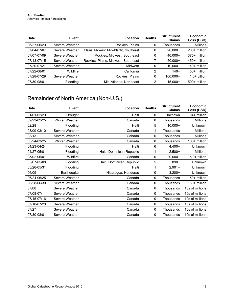| Date        | Event          | Location                                 | <b>Deaths</b> | Structures/<br><b>Claims</b> | <b>Economic</b><br>Loss (USD) |
|-------------|----------------|------------------------------------------|---------------|------------------------------|-------------------------------|
| 06/27-06/29 | Severe Weather | Rockies, Plains                          | 0             | Thousands                    | <b>Millions</b>               |
| 07/04-07/07 | Severe Weather | Plains, Midwest, Mid-Atlantic, Southeast | 0             | $20.000+$                    | $200+$ million                |
| 07/07-07/09 | Severe Weather | Rockies, Midwest, Southeast              | 0             | 40.000+                      | 375+ million                  |
| 07/13-07/15 | Severe Weather | Rockies, Plains, Midwest, Southeast      |               | $50.000+$                    | 450+ million                  |
| 07/20-07/21 | Severe Weather | Midwest                                  | 0             | $10.000+$                    | $140+$ million                |
| 07/22-08/01 | Wildfire       | California                               | ົ             | $140+$                       | 50+ million                   |
| 07/28-07/29 | Severe Weather | Rockies, Plains                          | 0             | 100.000+                     | $1.0+$ billion                |
| 07/30-08/01 | Flooding       | Mid-Atlantic, Northeast                  | າ             | $15.000+$                    | $500+$ million                |

## Remainder of North America (Non-U.S.)

| <b>Date</b> | <b>Event</b>          | Location                  | <b>Deaths</b> | Structures/<br><b>Claims</b> | Economic<br>Loss (USD) |
|-------------|-----------------------|---------------------------|---------------|------------------------------|------------------------|
| 01/01-02/29 | Drought               | Haiti                     | 0             | Unknown                      | 84+ million            |
| 02/23-02/25 | <b>Winter Weather</b> | Canada                    | 0             | Thousands                    | <b>Millions</b>        |
| 02/28       | Flooding              | Haiti                     | 5             | $10,000+$                    | Unknown                |
| 03/09-03/10 | Severe Weather        | Canada                    | 1             | Thousands                    | <b>Millions</b>        |
| 03/13       | Severe Weather        | Canada                    | 0             | Thousands                    | <b>Millions</b>        |
| 03/24-03/25 | <b>Winter Weather</b> | Canada                    | 0             | Thousands                    | $100+$ million         |
| 04/23-04/24 | Flooding              | Haiti                     | 6             | $4,400+$                     | Unknown                |
| 04/27-05/01 | Flooding              | Haiti, Dominican Republic |               | $2,500+$                     | <b>Millions</b>        |
| 05/02-06/01 | Wildfire              | Canada                    | 0             | $20,000+$                    | $5.0+$ billion         |
| 05/07-05/08 | Flooding              | Haiti, Dominican Republic | 5             | $890+$                       | Unknown                |
| 05/26-05/31 | Flooding              | Haiti                     |               | $2,901+$                     | Unknown                |
| 06/09       | Earthquake            | Nicaragua, Honduras       | 0             | $3,200+$                     | Unknown                |
| 06/24-06/25 | Severe Weather        | Canada                    | 0             | Thousands                    | 50+ million            |
| 06/28-06/30 | Severe Weather        | Canada                    | 0             | Thousands                    | 50+ million            |
| 07/08       | Severe Weather        | Canada                    | 0             | Thousands                    | 10s of millions        |
| 07/08-07/11 | Severe Weather        | Canada                    | 0             | Thousands                    | 10s of millions        |
| 07/15-07/16 | Severe Weather        | Canada                    | 0             | Thousands                    | 10s of millions        |
| 07/18-07/20 | Severe Weather        | Canada                    | 0             | Thousands                    | 10s of millions        |
| 07/27       | Severe Weather        | Canada                    | 0             | Thousands                    | 10s of millions        |
| 07/30-08/01 | Severe Weather        | Canada                    | 0             | Thousands                    | 10s of millions        |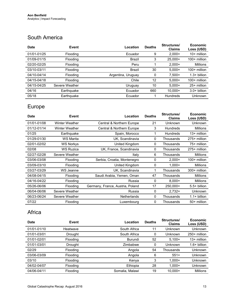#### South America

| <b>Date</b> | Event           | Location           | <b>Deaths</b> | Structures/<br><b>Claims</b> | <b>Economic</b><br>Loss (USD) |
|-------------|-----------------|--------------------|---------------|------------------------------|-------------------------------|
| 01/01-01/25 | Flooding        | Ecuador            | 9             | $2,000+$                     | $10+$ million                 |
| 01/09-01/15 | Flooding        | Brazil             | 3             | $25,000+$                    | $100+$ million                |
| 02/20-02/25 | <b>Flooding</b> | Peru               |               | $2,000+$                     | <b>Millions</b>               |
| 03/10-03/11 | <b>Flooding</b> | Brazil             | 30            | $5,000+$                     | $100+$ million                |
| 04/10-04/14 | <b>Flooding</b> | Argentina, Uruguay | 0             | $7,500+$                     | $1.3+$ billion                |
| 04/15-04/18 | <b>Flooding</b> | Chile              | 12            | $5,000+$                     | $100+$ million                |
| 04/15-04/25 | Severe Weather  | Uruguay            | 10            | $5.000+$                     | 25+ million                   |
| 04/16       | Earthquake      | Ecuador            | 660           | $10.000+$                    | $3.0+$ billion                |
| 05/18       | Earthquake      | Ecuador            |               | <b>Hundreds</b>              | Unknown                       |

## Europe

| <b>Date</b> | <b>Event</b>          | Location                         | <b>Deaths</b> | Structures/<br><b>Claims</b> | <b>Economic</b><br>Loss (USD) |
|-------------|-----------------------|----------------------------------|---------------|------------------------------|-------------------------------|
| 01/01-01/08 | <b>Winter Weather</b> | Central & Northern Europe        | 21            | Unknown                      | Unknown                       |
| 01/12-01/14 | Winter Weather        | Central & Northern Europe        | 3             | <b>Hundreds</b>              | Millions                      |
| 01/25       | Earthquake            | Spain, Morocco                   |               | Hundreds                     | $13+$ million                 |
| 01/29-01/30 | WS Marita             | UK, Scandinavia                  | 0             | Thousands                    | 275+ million                  |
| 02/01-02/02 | WS Norkys             | United Kingdom                   | 0             | Thousands                    | 75+ million                   |
| 02/08       | <b>WS Ruzica</b>      | UK, France, Scandinavia          | 0             | Thousands                    | 275+ million                  |
| 02/27-02/28 | Severe Weather        | Italy                            | 6             | Thousands                    | Millions                      |
| 03/06-03/08 | Flooding              | Serbia, Croatia, Montenegro      | 0             | $2,000+$                     | $100+$ million                |
| 03/09-03/10 | Flooding              | United Kingdom                   | 0             | $1.000+$                     | Millions                      |
| 03/27-03/29 | WS Jeanne             | UK, Scandinavia                  |               | Thousands                    | 300+ million                  |
| 04/08-04/15 | Flooding              | Saudi Arabia, Yemen, Oman        | 47            | Thousands                    | <b>Millions</b>               |
| 04/16-04/22 | Flooding              | Russia                           | 0             | $8,000+$                     | Millions                      |
| 05/26-06/06 | Flooding              | Germany, France, Austria, Poland | 17            | 250,000+                     | $5.5+$ billion                |
| 06/04-06/06 | Severe Weather        | Russia                           | 0             | $2,732+$                     | Unknown                       |
| 06/23-06/24 | Severe Weather        | <b>Netherlands</b>               | 0             | Thousands                    | $1.1 + billion$               |
| 07/22       | Flooding              | Luxembourg                       | 0             | Thousands                    | 50+ million                   |

#### Africa

| <b>Date</b> | Event           | Location        | <b>Deaths</b> | Structures/<br><b>Claims</b> | <b>Economic</b><br>Loss (USD) |
|-------------|-----------------|-----------------|---------------|------------------------------|-------------------------------|
| 01/01-01/10 | Heatwave        | South Africa    | 11            | Unknown                      | <b>Unknown</b>                |
| 01/01-03/01 | Drought         | South Africa    | 0             | Unknown                      | 250+ million                  |
| 01/01-02/01 | <b>Flooding</b> | Burundi         | 52            | $5,100+$                     | $13+$ million                 |
| 01/01-03/01 | Drought         | Zimbabwe        | 0             | Unknown                      | $1.6+$ billion                |
| 02/29       | <b>Flooding</b> | Angola          | 54            | Thousands                    | Unknown                       |
| 03/06-03/09 | Flooding        | Angola          | 6             | $551+$                       | Unknown                       |
| 03/10       | <b>Flooding</b> | Kenya           | 3             | $1,000+$                     | Unknown                       |
| 04/02-04/07 | <b>Flooding</b> | Ethiopia        | 28            | $1,000+$                     | Unknown                       |
| 04/06-04/11 | Flooding        | Somalia, Malawi | 19            | $10,000+$                    | <b>Millions</b>               |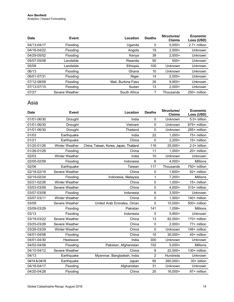| <b>Date</b> | Event           | Location           | <b>Deaths</b> | Structures/<br><b>Claims</b> | <b>Economic</b><br>Loss (USD) |
|-------------|-----------------|--------------------|---------------|------------------------------|-------------------------------|
| 04/13-04/17 | Flooding        | Uganda             | 0             | $5.000+$                     | $2.7+$ million                |
| 04/16-04/22 | Flooding        | Angola             | 19            | $2,500+$                     | Unknown                       |
| 04/29-05/02 | Flooding        | Kenya              | 39            | $2.000+$                     | <b>Unknown</b>                |
| 05/07-05/08 | Landslide       | Rwanda             | 50            | $500+$                       | Unknown                       |
| 05/09       | Landslide       | Ethiopia           | 100           | Unknown                      | Unknown                       |
| 06/13       | Flooding        | Ghana              | 10            | Unknown                      | Unknown                       |
| 06/01-07/31 | Flooding        | Niger              | 14            | $2.000+$                     | <b>Unknown</b>                |
| 07/12-08/09 | Flooding        | Mali. Burkina Faso | 26            | $9.900+$                     | <b>Unknown</b>                |
| 07/13-07/15 | <b>Flooding</b> | Sudan              | 13            | $2.000+$                     | Unknown                       |
| 07/27       | Severe Weather  | South Africa       |               | Thousands                    | 250+ million                  |

#### Asia

| <b>Date</b>   | <b>Event</b>   | Location                              | <b>Deaths</b>  | Structures/<br><b>Claims</b> | Economic<br>Loss (USD) |
|---------------|----------------|---------------------------------------|----------------|------------------------------|------------------------|
| 01/01-06/30   | Drought        | India                                 | 0              | Unknown                      | 5.0+ billion           |
| 01/01-06/30   | Drought        | Vietnam                               | 0              | Unknown                      | 675+ million           |
| 01/01-06/30   | Drought        | Thailand                              | $\mathbf 0$    | Unknown                      | 285+ million           |
| 01/03         | Earthquake     | India                                 | 22             | $1,000+$                     | 75+ million            |
| 01/21         | Earthquake     | China                                 | $\mathbf 0$    | $2,200+$                     | 15+ million            |
| 01/20-01/26   | Winter Weather | China, Taiwan, Korea, Japan, Thailand | 116            | 25,000+                      | 2.0+ billion           |
| 01/26-01/29   | Flooding       | China                                 | 11             | $1,000+$                     | 20+ million            |
| 02/03         | Winter Weather | India                                 | 10             | Unknown                      | Unknown                |
| 02/05-02/09   | Flooding       | Indonesia                             | $\,6\,$        | $4,000+$                     | <b>Millions</b>        |
| 02/06         | Earthquake     | Taiwan                                | 117            | Thousands                    | 750+ million           |
| 02/18-02/19   | Severe Weather | China                                 | $\pmb{0}$      | $1,600+$                     | 62+ million            |
| 02/19-02/24   | Flooding       | Indonesia, Malaysia                   | 1              | $7,200+$                     | Millions               |
| 02/21-02/26   | Winter Weather | China                                 | 0              | $1,000+$                     | 15+ million            |
| 03/03-03/09   | Severe Weather | China                                 | $\pmb{0}$      | $4,000+$                     | 315+ million           |
| 03/07-03/08   | Flooding       | Indonesia                             | $\,6$          | $3,500+$                     | Unknown                |
| 03/07-03/11   | Winter Weather | China                                 | 0              | $1,000+$                     | 140+ million           |
| 03/09         | Severe Weather | United Arab Emirates, Oman            | 0              | $10,000+$                    | 500+ million           |
| 03/09-03/29   | Flooding       | Pakistan                              | 141            | $1,058+$                     | Millions               |
| 03/13         | Flooding       | Indonesia                             | 5              | $5,900+$                     | Unknown                |
| 03/19-03/22   | Severe Weather | China                                 | 13             | 82,000+                      | 170+ million           |
| 03/25-03/28   | Severe Weather | China                                 | $\pmb{0}$      | $2,000+$                     | 77+ million            |
| 03/26-03/29   | Winter Weather | China                                 | $\mathbf 0$    | Unknown                      | 146+ million           |
| 04/01-04/08   | Flooding       | China                                 | 10             | $30,000+$                    | 45+ million            |
| 04/01-04/30   | Heatwave       | India                                 | 300            | Unknown                      | Unknown                |
| 04/02-04/08   | Flooding       | Pakistan, Afghanistan                 | 152            | $5,000+$                     | Millions               |
| 04/10-04/12   | Severe Weather | China                                 | 8              | $22,000+$                    | 130+ million           |
| 04/13         | Earthquake     | Myanmar, Bangladesh, India            | $\overline{2}$ | Hundreds                     | Unknown                |
| 04/14 & 04/16 | Earthquake     | Japan                                 | 95             | 260,000+                     | 30+ billion            |
| 04/16-04/17   | Flooding       | Afghanistan                           | 31             | Unknown                      | Unknown                |
| 04/20-04/28   | Flooding       | China                                 | 20             | 16,000+                      | 97+ million            |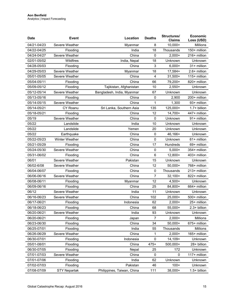| <b>Date</b> | <b>Event</b>        | Location                   | <b>Deaths</b> | Structures/<br><b>Claims</b> | Economic<br>Loss (USD) |
|-------------|---------------------|----------------------------|---------------|------------------------------|------------------------|
| 04/21-04/23 | Severe Weather      | Myanmar                    | 8             | 10,000+                      | Millions               |
| 04/22-04/25 | Flooding            | India                      | 18            | Thousands                    | 150+ million           |
| 04/24-04/27 | Severe Weather      | China                      | $\pmb{0}$     | $2,000+$                     | 216+ million           |
| 02/01-05/02 | Wildfires           | India, Nepal               | 18            | Unknown                      | Unknown                |
| 04/28-05/03 | Flooding            | China                      | 3             | $6,000+$                     | 31+ million            |
| 04/29-05/03 | Severe Weather      | Myanmar                    | 18            | 17,584+                      | 2.6+ million           |
| 05/01-05/05 | Severe Weather      | China                      | 4             | $31,500+$                    | 115+ million           |
| 05/04-05/11 | Flooding            | China                      | 66            | 79,200+                      | 820+ million           |
| 05/09-05/12 | Flooding            | Tajikistan, Afghanistan    | 10            | $2,550+$                     | Unknown                |
| 05/12-05/14 | Severe Weather      | Bangladesh, India, Myanmar | 67            | Unknown                      | Unknown                |
| 05/13-05/16 | Flooding            | China                      | $\mathbf 0$   | 2,900                        | 200+ million           |
| 05/14-05/15 | Severe Weather      | China                      | 1             | 1,300                        | 93+ million            |
| 05/14-05/21 | CY Roanu            | Sri Lanka, Southern Asia   | 135           | 125,000+                     | 1.7+ billion           |
| 05/18-05/21 | Flooding            | China                      | 12            | $14,700+$                    | 447+ million           |
| 05/19       | Severe Weather      | China                      | $\mathbf 0$   | Unknown                      | 91+ million            |
| 05/22       | Landslide           | India                      | 10            | Unknown                      | Unknown                |
| 05/22       | Landslide           | Yemen                      | 20            | Unknown                      | Unknown                |
| 05/22       | Earthquake          | China                      | $\pmb{0}$     | 46,166+                      | Unknown                |
| 05/22-05/23 | Winter Weather      | China                      | 0             | Unknown                      | 61+ million            |
| 05/21-05/29 | Flooding            | China                      | 17            | Hundreds                     | 69+ million            |
| 05/24-05/30 | Severe Weather      | China                      | 0             | $5,000+$                     | 354+ million           |
| 05/31-06/02 | Flooding            | China                      | 6             | 12,800+                      | 403+ million           |
| 06/01       | Severe Weather      | Pakistan                   | 15            | Unknown                      | Unknown                |
| 06/02-6/08  | Severe Weather      | China                      | 12            | $50,000+$                    | 768+ million           |
| 06/04-06/07 | Flooding            | China                      | $\pmb{0}$     | Thousands                    | 213+ million           |
| 06/06-06/16 | Severe Weather      | China                      | 7             | $32,100+$                    | 822+ million           |
| 06/08-06/11 | Flooding            | Myanmar                    | 12            | $4,500+$                     | Unknown                |
| 06/09-06/16 | Flooding            | China                      | 25            | 84,800+                      | 664+ million           |
| 06/12       | Severe Weather      | India                      | 11            | Unknown                      | Unknown                |
| 06/16-06/23 | Severe Weather      | China                      | 102           | 25,000+                      | 500+ million           |
| 06/17-06/21 | Flooding            | Indonesia                  | 62            | $2,000+$                     | 25+ million            |
| 06/18-06/23 | Flooding            | China                      | 68            | 55,000+                      | 2.3+ billion           |
| 06/20-06/21 | Severe Weather      | India                      | 93            | Unknown                      | Unknown                |
| 06/20-06/21 | Flooding            | Japan                      | 7             | $2,000+$                     | Millions               |
| 06/23-06/30 | Flooding            | China                      | 34            | 50,000+                      | 675+ million           |
| 06/25-07/01 | Flooding            | India                      | 55            | Thousands                    | Millions               |
| 06/26-06/29 | Severe Weather      | China                      | 1             | $2,000+$                     | 165+ million           |
| 06/30-07/01 | Flooding            | Indonesia                  | $\mathbf 0$   | 14,109+                      | Unknown                |
| 05/01-08/01 | Flooding            | China                      | $475+$        | 500,000+                     | 28+ billion            |
| 06/30-07/05 | Flooding            | Nepal                      | 25            | 172                          | Unknown                |
| 07/01-07/03 | Severe Weather      | China                      | 0             | 0                            | 117+ million           |
| 07/01-07/06 | Flooding            | India                      | 62            | Unknown                      | Unknown                |
| 07/02-07/03 | Flooding            | Pakistan                   | 46            | $100+$                       | Unknown                |
| 07/08-07/09 | <b>STY Nepartak</b> | Philippines, Taiwan, China | 111           | 38,000+                      | 1.5+ billion           |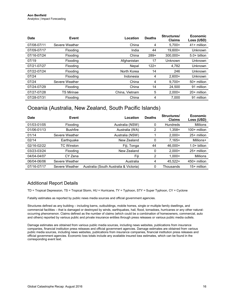| <b>Date</b> | Event             | Location       | <b>Deaths</b> | Structures/<br><b>Claims</b> | <b>Economic</b><br>Loss (USD) |
|-------------|-------------------|----------------|---------------|------------------------------|-------------------------------|
| 07/08-07/11 | Severe Weather    | China          | 4             | $5.700+$                     | $41+$ million                 |
| 07/09-07/17 | Flooding          | India          | 44            | 19.600+                      | Unknown                       |
| 07/16-07/24 | Flooding          | China          | $289+$        | $300.000+$                   | $5.0+$ billion                |
| 07/19       | Flooding          | Afghanistan    | 17            | Unknown                      | Unknown                       |
| 07/21-07/27 | Flooding          | Nepal          | $122+$        | 4,782                        | Unknown                       |
| 07/22-07/24 | Flooding          | North Korea    | 14            | 246                          | <b>Unknown</b>                |
| 07/24       | Flooding          | Indonesia      | 4             | $2.600+$                     | Unknown                       |
| 07/24       | Severe Weather    | China          | 4             | $9.700+$                     | 50+ million                   |
| 07/24-07/29 | Flooding          | China          | 14            | 24.500                       | 91 million                    |
| 07/27-07/28 | <b>TS Mirinae</b> | China, Vietnam | 5             | $2.000+$                     | 20+ million                   |
| 07/28-07/31 | Flooding          | China          | 4             | 7.000                        | 91 million                    |

#### Oceania (Australia, New Zealand, South Pacific Islands)

| Date        | Event           | Location                               | <b>Deaths</b> | Structures/<br><b>Claims</b> | Economic<br>Loss (USD) |
|-------------|-----------------|----------------------------------------|---------------|------------------------------|------------------------|
| 01/03-01/05 | <b>Flooding</b> | Australia (NSW)                        | 0             | Hundreds                     | Millions               |
| 01/06-01/13 | <b>Bushfire</b> | Australia (WA)                         | 2             | $1,358+$                     | 100+ million           |
| 01/14       | Severe Weather  | Australia (NSW)                        |               | $2.000+$                     | 25+ million            |
| 02/14       | Earthquake      | New Zealand                            | 0             | $7,165+$                     | Millions+              |
| 02/16-02/22 | TC Winston      | Fiji, Tonga                            | 44            | $46.000+$                    | $1.0+$ billion         |
| 03/23-03/24 | Flooding        | New Zealand                            |               | $2.000+$                     | 25+ million            |
| 04/04-04/07 | CY Zena         | Fiji                                   | 2             | $1.000 +$                    | <b>Millions</b>        |
| 06/04-06/06 | Severe Weather  | Australia                              | 4             | $45.522+$                    | 450+ million           |
| 07/16-07/17 | Severe Weather  | Australia (South Australia & Victoria) | Ω             | Thousands                    | 15+ million            |

#### Additional Report Details

TD = Tropical Depression, TS = Tropical Storm, HU = Hurricane, TY = Typhoon, STY = Super Typhoon, CY = Cyclone

Fatality estimates as reported by public news media sources and official government agencies.

Structures defined as any building – including barns, outbuildings, mobile homes, single or multiple family dwellings, and commercial facilities – that is damaged or destroyed by winds, earthquakes, hail, flood, tornadoes, hurricanes or any other naturaloccurring phenomenon. Claims defined as the number of claims (which could be a combination of homeowners, commercial, auto and others) reported by various public and private insurance entities through press releases or various public media outlets.

Damage estimates are obtained from various public media sources, including news websites, publications from insurance companies, financial institution press releases and official government agencies. Damage estimates are obtained from various public media sources, including news websites, publications from insurance companies, financial institution press releases and official government agencies. Economic loss totals include any available insured loss estimates, which can be found in the corresponding event text.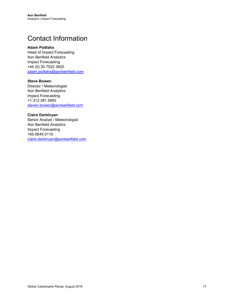## <span id="page-16-0"></span>Contact Information

#### **Adam Podlaha**

Head of Impact Forecasting Aon Benfield Analytics Impact Forecasting +44 (0) 20 7522 3820 [adam.podlaha@aonbenfield.com](mailto:adam.podlaha@aonbenfield.com)

#### **Steve Bowen**

Director / Meteorologist Aon Benfield Analytics Impact Forecasting +1.312.381.5883 [steven.bowen@aonbenfield.com](mailto:steven.bowen@aonbenfield.com)

#### **Claire Darbinyan**

Senior Analyst / Meteorologist Aon Benfield Analytics Impact Forecasting +65.6645.0110 [claire.darbinyan@aonbenfield.com](mailto:claire.darbinyan@aonbenfield.com)